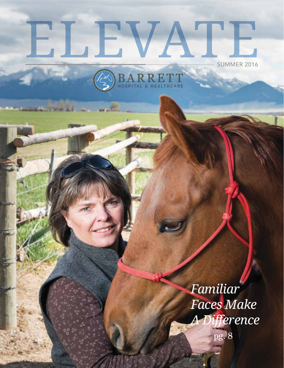# ELEVATE SUMMER 2016



- 1

*Familiar Faces Make A Difference*

pg. 8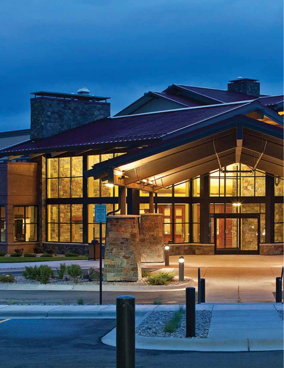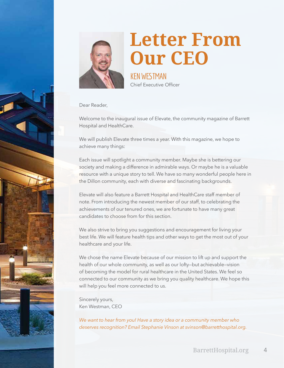



KEN WESTMAN Chief Executive Officer

Dear Reader,

Welcome to the inaugural issue of Elevate, the community magazine of Barrett Hospital and HealthCare.

We will publish Elevate three times a year. With this magazine, we hope to achieve many things:

Each issue will spotlight a community member. Maybe she is bettering our society and making a difference in admirable ways. Or maybe he is a valuable resource with a unique story to tell. We have so many wonderful people here in the Dillon community, each with diverse and fascinating backgrounds.

Elevate will also feature a Barrett Hospital and HealthCare staff member of note. From introducing the newest member of our staff, to celebrating the achievements of our tenured ones, we are fortunate to have many great candidates to choose from for this section.

We also strive to bring you suggestions and encouragement for living your best life. We will feature health tips and other ways to get the most out of your healthcare and your life.

We chose the name Elevate because of our mission to lift up and support the health of our whole community, as well as our lofty—but achievable—vision of becoming the model for rural healthcare in the United States. We feel so connected to our community as we bring you quality healthcare. We hope this will help you feel more connected to us.

Sincerely yours, Ken Westman, CEO

*We want to hear from you! Have a story idea or a community member who deserves recognition? Email Stephanie Vinson at svinson@barretthospital.org.*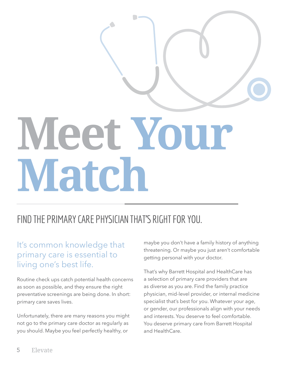**Meet Your Match**

# FIND THE PRIMARY CARE PHYSICIAN THAT'S RIGHT FOR YOU.

### It's common knowledge that primary care is essential to living one's best life.

Routine check ups catch potential health concerns as soon as possible, and they ensure the right preventative screenings are being done. In short: primary care saves lives.

Unfortunately, there are many reasons you might not go to the primary care doctor as regularly as you should. Maybe you feel perfectly healthy, or

maybe you don't have a family history of anything threatening. Or maybe you just aren't comfortable getting personal with your doctor.

That's why Barrett Hospital and HealthCare has a selection of primary care providers that are as diverse as you are. Find the family practice physician, mid-level provider, or internal medicine specialist that's best for you. Whatever your age, or gender, our professionals align with your needs and interests. You deserve to feel comfortable. You deserve primary care from Barrett Hospital and HealthCare.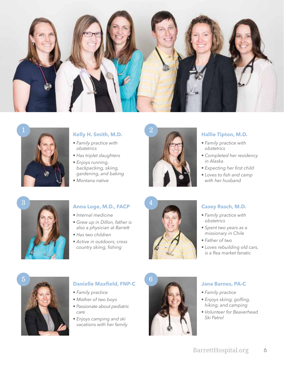



#### **Kelly H. Smith, M.D.**

- *Family practice with obstetrics*
- *Has triplet daughters*
- *Enjoys running, backpacking, skiing, gardening, and baking*
- *Montana native*



#### **Hallie Tipton, M.D.**

- *Family practice with obstetrics*
- *Completed her residency in Alaska*
- *Expecting her first child*
- *Loves to fish and camp with her husband*



#### **Anna Loge, M.D., FACP**

- *Internal medicine*
- *Grew up in Dillon, father is also a physician at Barrett*
- *Has two children*
- *Active in outdoors, cross country skiing, fishing*



#### **Casey Rasch, M.D.**

- *Family practice with obstetrics*
- *Spent two years as a missionary in Chile*
- *Father of two*
- *Loves rebuilding old cars, is a flea market fanatic*



#### **Danielle Maxfield, FNP-C**

- *Family practice*
- *Mother of two boys*
- *Passionate about pediatric care*
- *Enjoys camping and ski vacations with her family*



#### **Jana Barnes, PA-C**

- *Family practice*
- *Enjoys skiing, golfing, hiking, and camping*
- *Volunteer for Beaverhead Ski Patrol*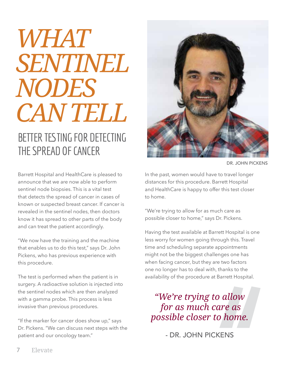# *WHAT*  **SENTINEL** *NODES CAN TELL*

# BETTER TESTING FOR DETECTING THE SPREAD OF CANCER

Barrett Hospital and HealthCare is pleased to announce that we are now able to perform sentinel node biopsies. This is a vital test that detects the spread of cancer in cases of known or suspected breast cancer. If cancer is revealed in the sentinel nodes, then doctors know it has spread to other parts of the body and can treat the patient accordingly.

"We now have the training and the machine that enables us to do this test," says Dr. John Pickens, who has previous experience with this procedure.

The test is performed when the patient is in surgery. A radioactive solution is injected into the sentinel nodes which are then analyzed with a gamma probe. This process is less invasive than previous procedures.

"If the marker for cancer does show up," says Dr. Pickens. "We can discuss next steps with the patient and our oncology team."



DR. JOHN PICKENS

In the past, women would have to travel longer distances for this procedure. Barrett Hospital and HealthCare is happy to offer this test closer to home.

"We're trying to allow for as much care as possible closer to home," says Dr. Pickens.

Having the test available at Barrett Hospital is one less worry for women going through this. Travel time and scheduling separate appointments might not be the biggest challenges one has when facing cancer, but they are two factors one no longer has to deal with, thanks to the availability of the procedure at Barrett Hospital.

*"We're trying to allow for as much care as possible closer to home.*

- DR. JOHN PICKENS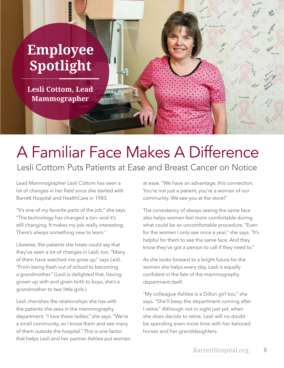

# A Familiar Face Makes A Difference Lesli Cottom Puts Patients at Ease and Breast Cancer on Notice

Lead Mammographer Lesli Cottom has seen a lot of changes in her field since she started with Barrett Hospital and HealthCare in 1983.

"It's one of my favorite parts of the job," she says. "The technology has changed a ton—and it's still changing. It makes my job really interesting. There's always something new to learn."

Likewise, the patients she treats could say that they've seen a lot of changes in Lesli, too. "Many of them have watched me grow up," says Lesli. "From being fresh out of school to becoming a grandmother." (Lesli is delighted that, having grown up with and given birth to boys, she's a grandmother to two little girls.)

Lesli cherishes the relationships she has with the patients she sees in the mammography department. "I love these ladies," she says. "We're a small community, so I know them and see many of them outside the hospital." This is one factor that helps Lesli and her partner Ashlee put women at ease. "We have an advantage, this connection. You're not just a patient, you're a woman of our community. We see you at the store!"

The consistency of always seeing the same face also helps women feel more comfortable during what could be an uncomfortable procedure. "Even for the women I only see once a year," she says. "It's helpful for them to see the same face. And they know they've got a person to call if they need to."

As she looks forward to a bright future for the women she helps every day, Lesli is equally confident in the fate of the mammography department itself.

"My colleague Ashlee is a Dillon girl too," she says. "She'll keep the department running after I retire." Although not in sight just yet, when she does decide to retire, Lesli will no doubt be spending even more time with her beloved horses and her granddaughters.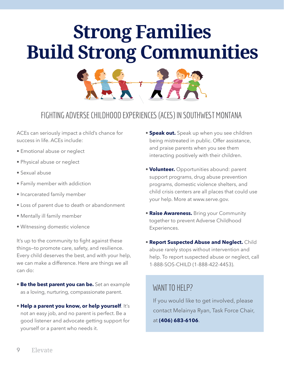# **Strong Families Build Strong Communities**



### FIGHTING ADVERSE CHILDHOOD EXPERIENCES (ACES) IN SOUTHWEST MONTANA

ACEs can seriously impact a child's chance for success in life. ACEs include:

- Emotional abuse or neglect
- Physical abuse or neglect
- Sexual abuse
- Family member with addiction
- Incarcerated family member
- Loss of parent due to death or abandonment
- Mentally ill family member
- Witnessing domestic violence

It's up to the community to fight against these things—to promote care, safety, and resilience. Every child deserves the best, and with your help, we can make a difference. Here are things we all can do:

- **Be the best parent you can be.** Set an example as a loving, nurturing, compassionate parent.
- **Help a parent you know, or help yourself**. It's not an easy job, and no parent is perfect. Be a good listener and advocate getting support for yourself or a parent who needs it.
- **Speak out.** Speak up when you see children being mistreated in public. Offer assistance, and praise parents when you see them interacting positively with their children.
- **Volunteer.** Opportunities abound: parent support programs, drug abuse prevention programs, domestic violence shelters, and child crisis centers are all places that could use your help. More at www.serve.gov.
- **Raise Awareness.** Bring your Community together to prevent Adverse Childhood Experiences.
- **Report Suspected Abuse and Neglect.** Child abuse rarely stops without intervention and help. To report suspected abuse or neglect, call 1-888-SOS-CHILD (1-888-422-4453).

### WANT TO HFI P?

If you would like to get involved, please contact Melainya Ryan, Task Force Chair, at **(406) 683-6106**.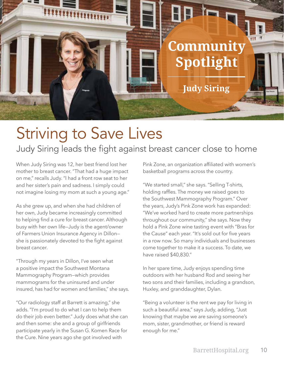

# Striving to Save Lives

Judy Siring leads the fight against breast cancer close to home

When Judy Siring was 12, her best friend lost her mother to breast cancer. "That had a huge impact on me," recalls Judy. "I had a front row seat to her and her sister's pain and sadness. I simply could not imagine losing my mom at such a young age."

As she grew up, and when she had children of her own, Judy became increasingly committed to helping find a cure for breast cancer. Although busy with her own life—Judy is the agent/owner of Farmers Union Insurance Agency in Dillon she is passionately devoted to the fight against breast cancer.

"Through my years in Dillon, I've seen what a positive impact the Southwest Montana Mammography Program—which provides mammograms for the uninsured and under insured, has had for women and families," she says.

"Our radiology staff at Barrett is amazing," she adds. "I'm proud to do what I can to help them do their job even better." Judy does what she can and then some: she and a group of girlfriends participate yearly in the Susan G. Komen Race for the Cure. Nine years ago she got involved with

Pink Zone, an organization affiliated with women's basketball programs across the country.

"We started small," she says. "Selling T-shirts, holding raffles. The money we raised goes to the Southwest Mammography Program." Over the years, Judy's Pink Zone work has expanded: "We've worked hard to create more partnerships throughout our community," she says. Now they hold a Pink Zone wine tasting event with "Bras for the Cause" each year. "It's sold out for five years in a row now. So many individuals and businesses come together to make it a success. To date, we have raised \$40,830."

In her spare time, Judy enjoys spending time outdoors with her husband Rod and seeing her two sons and their families, including a grandson, Huxley, and granddaughter, Dylan.

"Being a volunteer is the rent we pay for living in such a beautiful area," says Judy, adding, "Just knowing that maybe we are saving someone's mom, sister, grandmother, or friend is reward enough for me."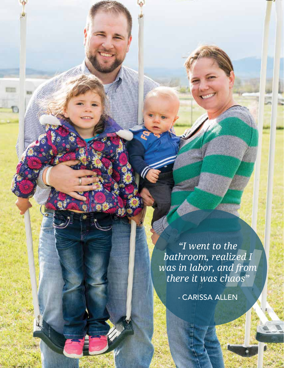*"I went to the bathroom, realized I was in labor, and from there it was chaos"* 

- CARISSA ALLEN

11 Elevate Portugal<br>11 Elevate Portugal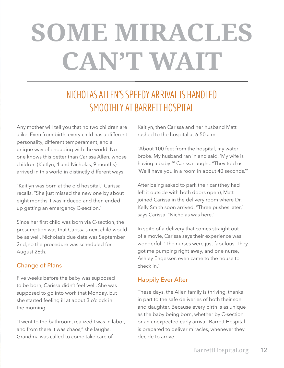# **SOME MIRACLES CAN'T WAIT**

## NICHOLAS ALLEN'S SPEEDY ARRIVAL IS HANDLED SMOOTHLY AT BARRETT HOSPITAL

Any mother will tell you that no two children are alike. Even from birth, every child has a different personality, different temperament, and a unique way of engaging with the world. No one knows this better than Carissa Allen, whose children (Kaitlyn, 4 and Nicholas, 9 months) arrived in this world in distinctly different ways.

"Kaitlyn was born at the old hospital," Carissa recalls. "She just missed the new one by about eight months. I was induced and then ended up getting an emergency C-section."

Since her first child was born via C-section, the presumption was that Carissa's next child would be as well. Nicholas's due date was September 2nd, so the procedure was scheduled for August 26th.

#### Change of Plans

Five weeks before the baby was supposed to be born, Carissa didn't feel well. She was supposed to go into work that Monday, but she started feeling ill at about 3 o'clock in the morning.

"I went to the bathroom, realized I was in labor, and from there it was chaos," she laughs. Grandma was called to come take care of

Kaitlyn, then Carissa and her husband Matt rushed to the hospital at 6:50 a.m.

"About 100 feet from the hospital, my water broke. My husband ran in and said, 'My wife is having a baby!'" Carissa laughs. "They told us, 'We'll have you in a room in about 40 seconds.'"

After being asked to park their car (they had left it outside with both doors open), Matt joined Carissa in the delivery room where Dr. Kelly Smith soon arrived. "Three pushes later," says Carissa. "Nicholas was here."

In spite of a delivery that comes straight out of a movie, Carissa says their experience was wonderful. "The nurses were just fabulous. They got me pumping right away, and one nurse, Ashley Engesser, even came to the house to check in."

#### Happily Ever After

These days, the Allen family is thriving, thanks in part to the safe deliveries of both their son and daughter. Because every birth is as unique as the baby being born, whether by C-section or an unexpected early arrival, Barrett Hospital is prepared to deliver miracles, whenever they decide to arrive.